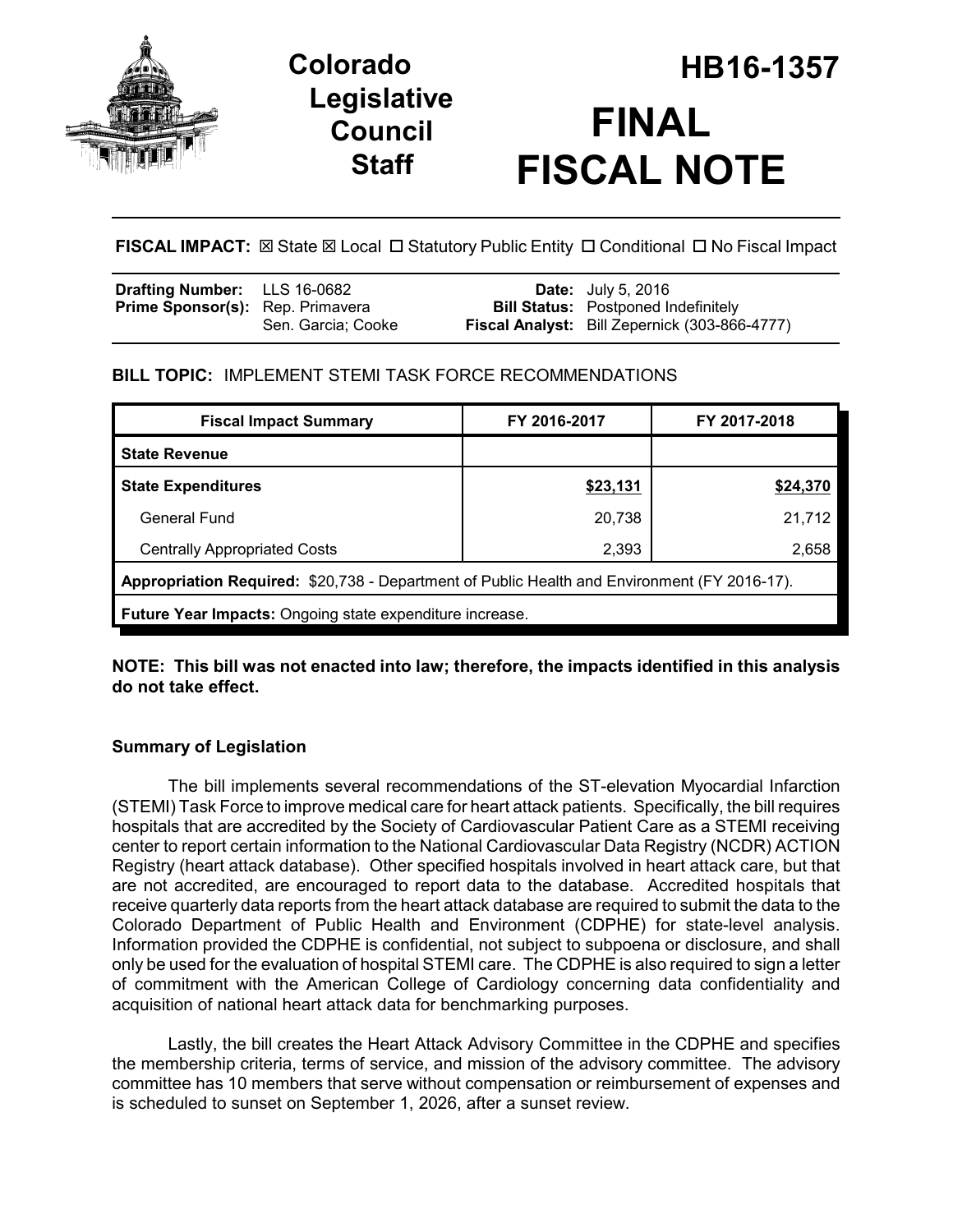

# **Legislative Council Staff**

# **Colorado HB16-1357 FINAL FISCAL NOTE**

**FISCAL IMPACT:** ⊠ State ⊠ Local □ Statutory Public Entity □ Conditional □ No Fiscal Impact

| <b>Drafting Number:</b> LLS 16-0682     |                    | <b>Date:</b> July 5, 2016                            |
|-----------------------------------------|--------------------|------------------------------------------------------|
| <b>Prime Sponsor(s):</b> Rep. Primavera |                    | <b>Bill Status:</b> Postponed Indefinitely           |
|                                         | Sen. Garcia: Cooke | <b>Fiscal Analyst:</b> Bill Zepernick (303-866-4777) |

# **BILL TOPIC:** IMPLEMENT STEMI TASK FORCE RECOMMENDATIONS

| <b>Fiscal Impact Summary</b>                                                                 | FY 2016-2017 | FY 2017-2018 |  |  |  |
|----------------------------------------------------------------------------------------------|--------------|--------------|--|--|--|
| <b>State Revenue</b>                                                                         |              |              |  |  |  |
| <b>State Expenditures</b>                                                                    | \$23,131     | \$24,370     |  |  |  |
| General Fund                                                                                 | 20,738       | 21,712       |  |  |  |
| <b>Centrally Appropriated Costs</b>                                                          | 2,393        | 2,658        |  |  |  |
| Appropriation Required: \$20,738 - Department of Public Health and Environment (FY 2016-17). |              |              |  |  |  |
| <b>Future Year Impacts:</b> Ongoing state expenditure increase.                              |              |              |  |  |  |

### **NOTE: This bill was not enacted into law; therefore, the impacts identified in this analysis do not take effect.**

# **Summary of Legislation**

The bill implements several recommendations of the ST-elevation Myocardial Infarction (STEMI) Task Force to improve medical care for heart attack patients. Specifically, the bill requires hospitals that are accredited by the Society of Cardiovascular Patient Care as a STEMI receiving center to report certain information to the National Cardiovascular Data Registry (NCDR) ACTION Registry (heart attack database). Other specified hospitals involved in heart attack care, but that are not accredited, are encouraged to report data to the database. Accredited hospitals that receive quarterly data reports from the heart attack database are required to submit the data to the Colorado Department of Public Health and Environment (CDPHE) for state-level analysis. Information provided the CDPHE is confidential, not subject to subpoena or disclosure, and shall only be used for the evaluation of hospital STEMI care. The CDPHE is also required to sign a letter of commitment with the American College of Cardiology concerning data confidentiality and acquisition of national heart attack data for benchmarking purposes.

Lastly, the bill creates the Heart Attack Advisory Committee in the CDPHE and specifies the membership criteria, terms of service, and mission of the advisory committee. The advisory committee has 10 members that serve without compensation or reimbursement of expenses and is scheduled to sunset on September 1, 2026, after a sunset review.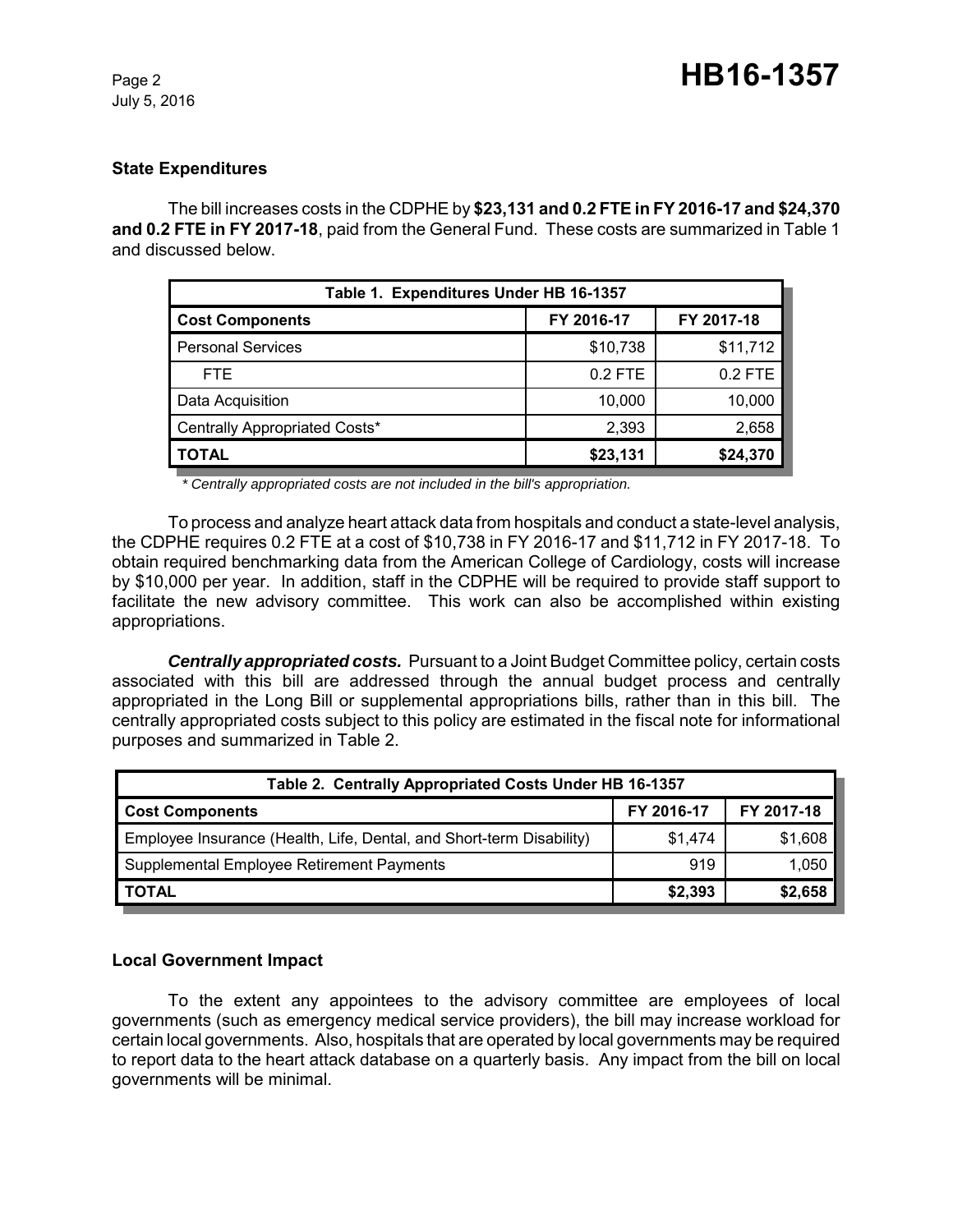#### **State Expenditures**

The bill increases costs in the CDPHE by **\$23,131 and 0.2 FTE in FY 2016-17 and \$24,370 and 0.2 FTE in FY 2017-18**, paid from the General Fund. These costs are summarized in Table 1 and discussed below.

| Table 1. Expenditures Under HB 16-1357 |            |            |  |  |  |
|----------------------------------------|------------|------------|--|--|--|
| <b>Cost Components</b>                 | FY 2016-17 | FY 2017-18 |  |  |  |
| <b>Personal Services</b>               | \$10,738   | \$11,712   |  |  |  |
| FTE.                                   | $0.2$ FTE  | 0.2 FTE    |  |  |  |
| Data Acquisition                       | 10,000     | 10,000     |  |  |  |
| Centrally Appropriated Costs*          | 2,393      | 2,658      |  |  |  |
| TOTAL                                  | \$23,131   | \$24,370   |  |  |  |

*\* Centrally appropriated costs are not included in the bill's appropriation.*

To process and analyze heart attack data from hospitals and conduct a state-level analysis, the CDPHE requires 0.2 FTE at a cost of \$10,738 in FY 2016-17 and \$11,712 in FY 2017-18. To obtain required benchmarking data from the American College of Cardiology, costs will increase by \$10,000 per year. In addition, staff in the CDPHE will be required to provide staff support to facilitate the new advisory committee. This work can also be accomplished within existing appropriations.

*Centrally appropriated costs.* Pursuant to a Joint Budget Committee policy, certain costs associated with this bill are addressed through the annual budget process and centrally appropriated in the Long Bill or supplemental appropriations bills, rather than in this bill. The centrally appropriated costs subject to this policy are estimated in the fiscal note for informational purposes and summarized in Table 2.

| Table 2. Centrally Appropriated Costs Under HB 16-1357               |            |            |  |  |  |
|----------------------------------------------------------------------|------------|------------|--|--|--|
| <b>Cost Components</b>                                               | FY 2016-17 | FY 2017-18 |  |  |  |
| Employee Insurance (Health, Life, Dental, and Short-term Disability) | \$1.474    | \$1,608    |  |  |  |
| Supplemental Employee Retirement Payments                            | 919        | 1,050      |  |  |  |
| <b>TOTAL</b>                                                         | \$2,393    | \$2,658    |  |  |  |

#### **Local Government Impact**

To the extent any appointees to the advisory committee are employees of local governments (such as emergency medical service providers), the bill may increase workload for certain local governments. Also, hospitals that are operated by local governments may be required to report data to the heart attack database on a quarterly basis. Any impact from the bill on local governments will be minimal.